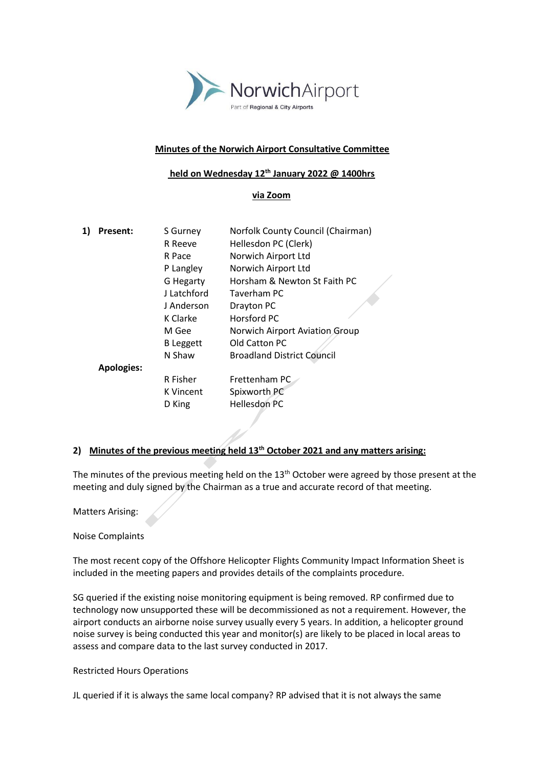

#### **Minutes of the Norwich Airport Consultative Committee**

#### **held on Wednesday 12th January 2022 @ 1400hrs**

### **via Zoom**

| Present:          | S Gurney         | Norfolk County Council (Chairman) |
|-------------------|------------------|-----------------------------------|
|                   | R Reeve          | Hellesdon PC (Clerk)              |
|                   | R Pace           | Norwich Airport Ltd               |
|                   | P Langley        | Norwich Airport Ltd               |
|                   | G Hegarty        | Horsham & Newton St Faith PC      |
|                   | J Latchford      | Taverham PC                       |
|                   | J Anderson       | Drayton PC                        |
|                   | K Clarke         | Horsford PC                       |
|                   | M Gee            | Norwich Airport Aviation Group    |
|                   | <b>B</b> Leggett | Old Catton PC                     |
|                   | N Shaw           | <b>Broadland District Council</b> |
| <b>Apologies:</b> |                  |                                   |
|                   | R Fisher         | Frettenham PC                     |
|                   | K Vincent        | Spixworth PC                      |
|                   | D King           | <b>Hellesdon PC</b>               |
|                   |                  |                                   |

#### **2) Minutes of the previous meeting held 13th October 2021 and any matters arising:**

The minutes of the previous meeting held on the 13<sup>th</sup> October were agreed by those present at the meeting and duly signed by the Chairman as a true and accurate record of that meeting.

Matters Arising:

Noise Complaints

The most recent copy of the Offshore Helicopter Flights Community Impact Information Sheet is included in the meeting papers and provides details of the complaints procedure.

SG queried if the existing noise monitoring equipment is being removed. RP confirmed due to technology now unsupported these will be decommissioned as not a requirement. However, the airport conducts an airborne noise survey usually every 5 years. In addition, a helicopter ground noise survey is being conducted this year and monitor(s) are likely to be placed in local areas to assess and compare data to the last survey conducted in 2017.

Restricted Hours Operations

JL queried if it is always the same local company? RP advised that it is not always the same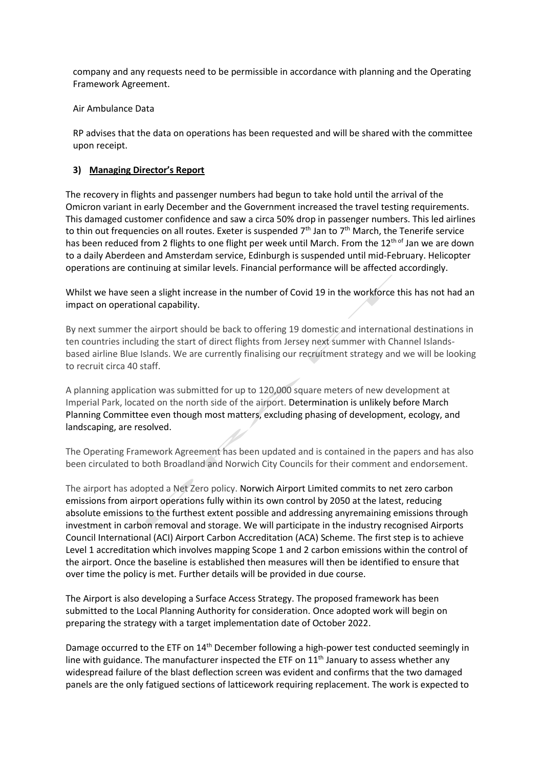company and any requests need to be permissible in accordance with planning and the Operating Framework Agreement.

### Air Ambulance Data

RP advises that the data on operations has been requested and will be shared with the committee upon receipt.

# **3) Managing Director's Report**

The recovery in flights and passenger numbers had begun to take hold until the arrival of the Omicron variant in early December and the Government increased the travel testing requirements. This damaged customer confidence and saw a circa 50% drop in passenger numbers. This led airlines to thin out frequencies on all routes. Exeter is suspended  $7<sup>th</sup>$  Jan to  $7<sup>th</sup>$  March, the Tenerife service has been reduced from 2 flights to one flight per week until March. From the 12<sup>th of</sup> Jan we are down to a daily Aberdeen and Amsterdam service, Edinburgh is suspended until mid-February. Helicopter operations are continuing at similar levels. Financial performance will be affected accordingly.

Whilst we have seen a slight increase in the number of Covid 19 in the workforce this has not had an impact on operational capability.

By next summer the airport should be back to offering 19 domestic and international destinations in ten countries including the start of direct flights from Jersey next summer with Channel Islandsbased airline Blue Islands. We are currently finalising our recruitment strategy and we will be looking to recruit circa 40 staff.

A planning application was submitted for up to 120,000 square meters of new development at Imperial Park, located on the north side of the airport. Determination is unlikely before March Planning Committee even though most matters, excluding phasing of development, ecology, and landscaping, are resolved.

The Operating Framework Agreement has been updated and is contained in the papers and has also been circulated to both Broadland and Norwich City Councils for their comment and endorsement.

The airport has adopted a Net Zero policy. Norwich Airport Limited commits to net zero carbon emissions from airport operations fully within its own control by 2050 at the latest, reducing absolute emissions to the furthest extent possible and addressing anyremaining emissions through investment in carbon removal and storage. We will participate in the industry recognised Airports Council International (ACI) Airport Carbon Accreditation (ACA) Scheme. The first step is to achieve Level 1 accreditation which involves mapping Scope 1 and 2 carbon emissions within the control of the airport. Once the baseline is established then measures will then be identified to ensure that over time the policy is met. Further details will be provided in due course.

The Airport is also developing a Surface Access Strategy. The proposed framework has been submitted to the Local Planning Authority for consideration. Once adopted work will begin on preparing the strategy with a target implementation date of October 2022.

Damage occurred to the ETF on 14<sup>th</sup> December following a high-power test conducted seemingly in line with guidance. The manufacturer inspected the ETF on  $11<sup>th</sup>$  January to assess whether any widespread failure of the blast deflection screen was evident and confirms that the two damaged panels are the only fatigued sections of latticework requiring replacement. The work is expected to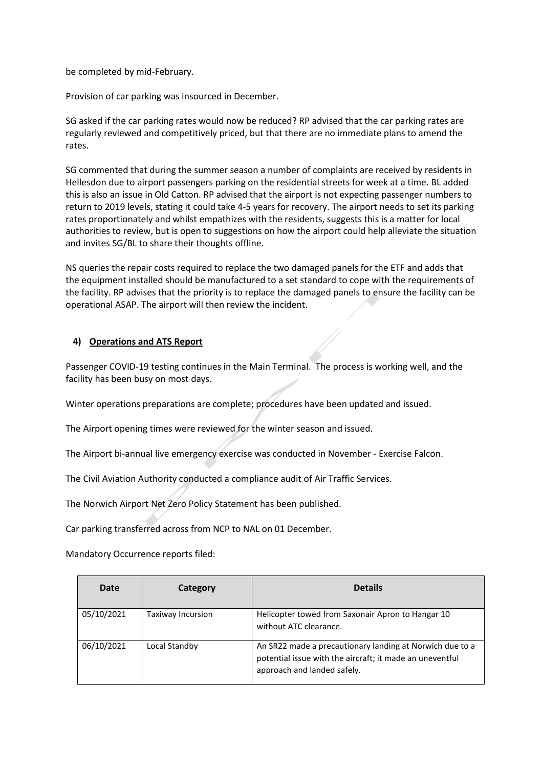be completed by mid-February.

Provision of car parking was insourced in December.

SG asked if the car parking rates would now be reduced? RP advised that the car parking rates are regularly reviewed and competitively priced, but that there are no immediate plans to amend the rates.

SG commented that during the summer season a number of complaints are received by residents in Hellesdon due to airport passengers parking on the residential streets for week at a time. BL added this is also an issue in Old Catton. RP advised that the airport is not expecting passenger numbers to return to 2019 levels, stating it could take 4-5 years for recovery. The airport needs to set its parking rates proportionately and whilst empathizes with the residents, suggests this is a matter for local authorities to review, but is open to suggestions on how the airport could help alleviate the situation and invites SG/BL to share their thoughts offline.

NS queries the repair costs required to replace the two damaged panels for the ETF and adds that the equipment installed should be manufactured to a set standard to cope with the requirements of the facility. RP advises that the priority is to replace the damaged panels to ensure the facility can be operational ASAP. The airport will then review the incident.

# **4) Operations and ATS Report**

Passenger COVID-19 testing continues in the Main Terminal. The process is working well, and the facility has been busy on most days.

Winter operations preparations are complete; procedures have been updated and issued.

The Airport opening times were reviewed for the winter season and issued.

The Airport bi-annual live emergency exercise was conducted in November - Exercise Falcon.

The Civil Aviation Authority conducted a compliance audit of Air Traffic Services.

The Norwich Airport Net Zero Policy Statement has been published.

Car parking transferred across from NCP to NAL on 01 December.

Mandatory Occurrence reports filed:

| Date       | Category          | <b>Details</b>                                                                                                                                      |
|------------|-------------------|-----------------------------------------------------------------------------------------------------------------------------------------------------|
| 05/10/2021 | Taxiway Incursion | Helicopter towed from Saxonair Apron to Hangar 10<br>without ATC clearance.                                                                         |
| 06/10/2021 | Local Standby     | An SR22 made a precautionary landing at Norwich due to a<br>potential issue with the aircraft; it made an uneventful<br>approach and landed safely. |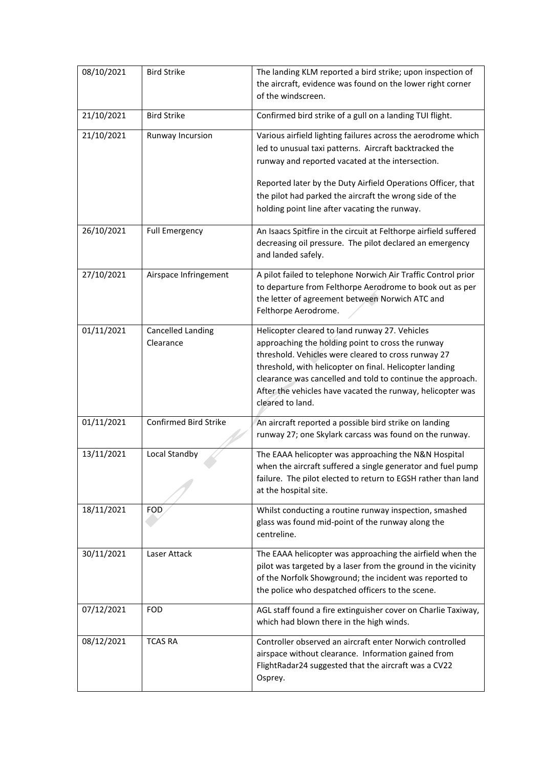| 08/10/2021 | <b>Bird Strike</b>             | The landing KLM reported a bird strike; upon inspection of<br>the aircraft, evidence was found on the lower right corner<br>of the windscreen.                                                                                                                                                                                                                        |
|------------|--------------------------------|-----------------------------------------------------------------------------------------------------------------------------------------------------------------------------------------------------------------------------------------------------------------------------------------------------------------------------------------------------------------------|
| 21/10/2021 | <b>Bird Strike</b>             | Confirmed bird strike of a gull on a landing TUI flight.                                                                                                                                                                                                                                                                                                              |
| 21/10/2021 | Runway Incursion               | Various airfield lighting failures across the aerodrome which<br>led to unusual taxi patterns. Aircraft backtracked the<br>runway and reported vacated at the intersection.<br>Reported later by the Duty Airfield Operations Officer, that<br>the pilot had parked the aircraft the wrong side of the<br>holding point line after vacating the runway.               |
| 26/10/2021 | <b>Full Emergency</b>          | An Isaacs Spitfire in the circuit at Felthorpe airfield suffered<br>decreasing oil pressure. The pilot declared an emergency<br>and landed safely.                                                                                                                                                                                                                    |
| 27/10/2021 | Airspace Infringement          | A pilot failed to telephone Norwich Air Traffic Control prior<br>to departure from Felthorpe Aerodrome to book out as per<br>the letter of agreement between Norwich ATC and<br>Felthorpe Aerodrome.                                                                                                                                                                  |
| 01/11/2021 | Cancelled Landing<br>Clearance | Helicopter cleared to land runway 27. Vehicles<br>approaching the holding point to cross the runway<br>threshold. Vehicles were cleared to cross runway 27<br>threshold, with helicopter on final. Helicopter landing<br>clearance was cancelled and told to continue the approach.<br>After the vehicles have vacated the runway, helicopter was<br>cleared to land. |
| 01/11/2021 | Confirmed Bird Strike          | An aircraft reported a possible bird strike on landing<br>runway 27; one Skylark carcass was found on the runway.                                                                                                                                                                                                                                                     |
| 13/11/2021 | Local Standby                  | The EAAA helicopter was approaching the N&N Hospital<br>when the aircraft suffered a single generator and fuel pump<br>failure. The pilot elected to return to EGSH rather than land<br>at the hospital site.                                                                                                                                                         |
| 18/11/2021 | <b>FOD</b>                     | Whilst conducting a routine runway inspection, smashed<br>glass was found mid-point of the runway along the<br>centreline.                                                                                                                                                                                                                                            |
| 30/11/2021 | Laser Attack                   | The EAAA helicopter was approaching the airfield when the<br>pilot was targeted by a laser from the ground in the vicinity<br>of the Norfolk Showground; the incident was reported to<br>the police who despatched officers to the scene.                                                                                                                             |
| 07/12/2021 | <b>FOD</b>                     | AGL staff found a fire extinguisher cover on Charlie Taxiway,<br>which had blown there in the high winds.                                                                                                                                                                                                                                                             |
| 08/12/2021 | <b>TCAS RA</b>                 | Controller observed an aircraft enter Norwich controlled<br>airspace without clearance. Information gained from<br>FlightRadar24 suggested that the aircraft was a CV22<br>Osprey.                                                                                                                                                                                    |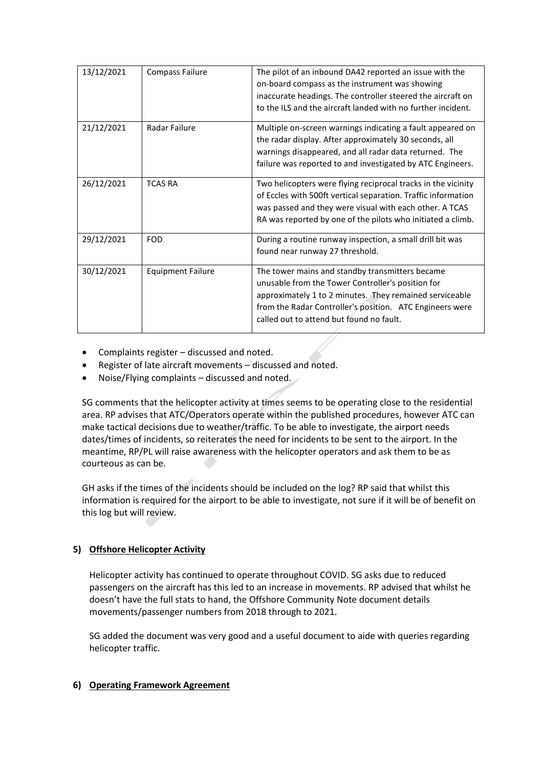| 13/12/2021 | Compass Failure          | The pilot of an inbound DA42 reported an issue with the<br>on-board compass as the instrument was showing<br>inaccurate headings. The controller steered the aircraft on<br>to the ILS and the aircraft landed with no further incident.                                |
|------------|--------------------------|-------------------------------------------------------------------------------------------------------------------------------------------------------------------------------------------------------------------------------------------------------------------------|
| 21/12/2021 | Radar Failure            | Multiple on-screen warnings indicating a fault appeared on<br>the radar display. After approximately 30 seconds, all<br>warnings disappeared, and all radar data returned. The<br>failure was reported to and investigated by ATC Engineers.                            |
| 26/12/2021 | <b>TCAS RA</b>           | Two helicopters were flying reciprocal tracks in the vicinity<br>of Eccles with 500ft vertical separation. Traffic information<br>was passed and they were visual with each other. A TCAS<br>RA was reported by one of the pilots who initiated a climb.                |
| 29/12/2021 | <b>FOD</b>               | During a routine runway inspection, a small drill bit was<br>found near runway 27 threshold.                                                                                                                                                                            |
| 30/12/2021 | <b>Equipment Failure</b> | The tower mains and standby transmitters became<br>unusable from the Tower Controller's position for<br>approximately 1 to 2 minutes. They remained serviceable<br>from the Radar Controller's position. ATC Engineers were<br>called out to attend but found no fault. |

- Complaints register discussed and noted.
- Register of late aircraft movements discussed and noted.
- Noise/Flying complaints discussed and noted.

SG comments that the helicopter activity at times seems to be operating close to the residential area. RP advises that ATC/Operators operate within the published procedures, however ATC can make tactical decisions due to weather/traffic. To be able to investigate, the airport needs dates/times of incidents, so reiterates the need for incidents to be sent to the airport. In the meantime, RP/PL will raise awareness with the helicopter operators and ask them to be as courteous as can be.

GH asks if the times of the incidents should be included on the log? RP said that whilst this information is required for the airport to be able to investigate, not sure if it will be of benefit on this log but will review.

# **5) Offshore Helicopter Activity**

Helicopter activity has continued to operate throughout COVID. SG asks due to reduced passengers on the aircraft has this led to an increase in movements. RP advised that whilst he doesn't have the full stats to hand, the Offshore Community Note document details movements/passenger numbers from 2018 through to 2021.

SG added the document was very good and a useful document to aide with queries regarding helicopter traffic.

# **6) Operating Framework Agreement**